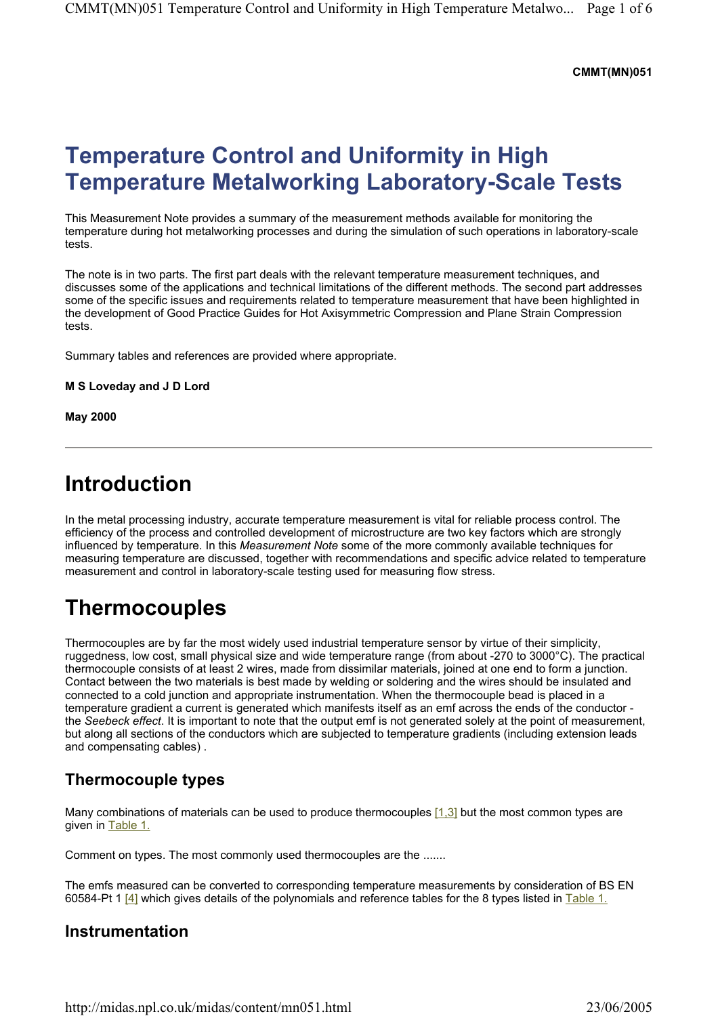#### **CMMT(MN)051**

# **Temperature Control and Uniformity in High Temperature Metalworking Laboratory-Scale Tests**

This Measurement Note provides a summary of the measurement methods available for monitoring the temperature during hot metalworking processes and during the simulation of such operations in laboratory-scale tests.

The note is in two parts. The first part deals with the relevant temperature measurement techniques, and discusses some of the applications and technical limitations of the different methods. The second part addresses some of the specific issues and requirements related to temperature measurement that have been highlighted in the development of Good Practice Guides for Hot Axisymmetric Compression and Plane Strain Compression tests.

Summary tables and references are provided where appropriate.

**M S Loveday and J D Lord** 

**May 2000** 

### **Introduction**

In the metal processing industry, accurate temperature measurement is vital for reliable process control. The efficiency of the process and controlled development of microstructure are two key factors which are strongly influenced by temperature. In this *Measurement Note* some of the more commonly available techniques for measuring temperature are discussed, together with recommendations and specific advice related to temperature measurement and control in laboratory-scale testing used for measuring flow stress.

### **Thermocouples**

Thermocouples are by far the most widely used industrial temperature sensor by virtue of their simplicity, ruggedness, low cost, small physical size and wide temperature range (from about -270 to 3000°C). The practical thermocouple consists of at least 2 wires, made from dissimilar materials, joined at one end to form a junction. Contact between the two materials is best made by welding or soldering and the wires should be insulated and connected to a cold junction and appropriate instrumentation. When the thermocouple bead is placed in a temperature gradient a current is generated which manifests itself as an emf across the ends of the conductor the *Seebeck effect*. It is important to note that the output emf is not generated solely at the point of measurement, but along all sections of the conductors which are subjected to temperature gradients (including extension leads and compensating cables) .

### **Thermocouple types**

Many combinations of materials can be used to produce thermocouples [1,3] but the most common types are given in Table 1.

Comment on types. The most commonly used thermocouples are the .......

The emfs measured can be converted to corresponding temperature measurements by consideration of BS EN 60584-Pt 1  $[4]$  which gives details of the polynomials and reference tables for the 8 types listed in Table 1.

#### **Instrumentation**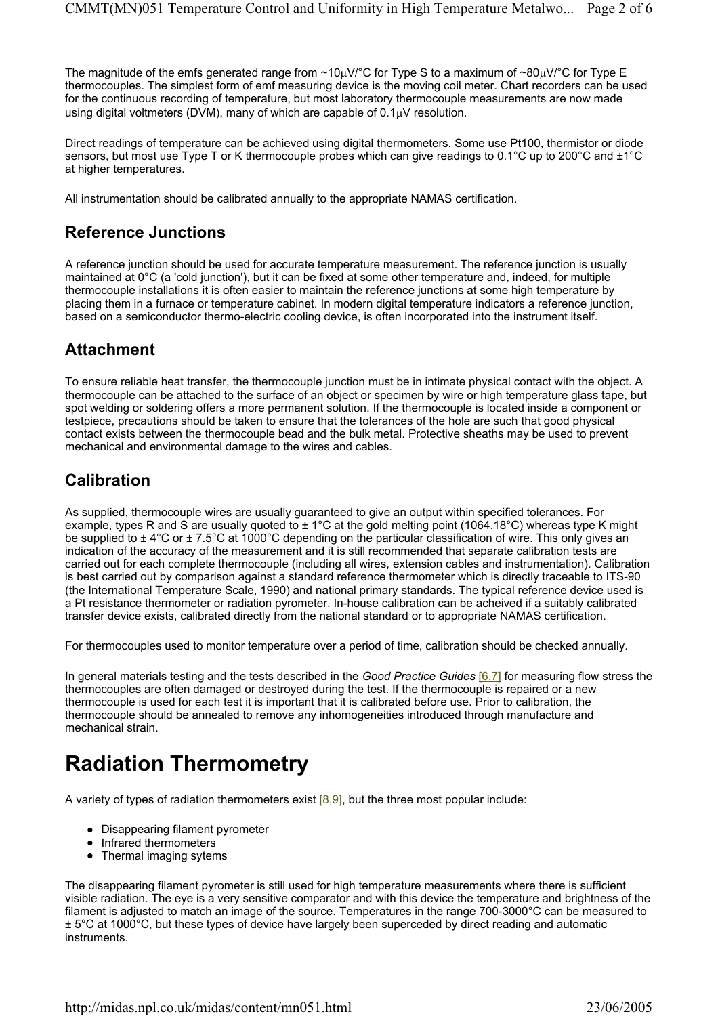The magnitude of the emfs generated range from ~10 $\mu$ V/°C for Type S to a maximum of ~80 $\mu$ V/°C for Type E thermocouples. The simplest form of emf measuring device is the moving coil meter. Chart recorders can be used for the continuous recording of temperature, but most laboratory thermocouple measurements are now made using digital voltmeters (DVM), many of which are capable of 0.1µV resolution.

Direct readings of temperature can be achieved using digital thermometers. Some use Pt100, thermistor or diode sensors, but most use Type T or K thermocouple probes which can give readings to 0.1°C up to 200°C and ±1°C at higher temperatures.

All instrumentation should be calibrated annually to the appropriate NAMAS certification.

#### **Reference Junctions**

A reference junction should be used for accurate temperature measurement. The reference junction is usually maintained at 0°C (a 'cold junction'), but it can be fixed at some other temperature and, indeed, for multiple thermocouple installations it is often easier to maintain the reference junctions at some high temperature by placing them in a furnace or temperature cabinet. In modern digital temperature indicators a reference junction, based on a semiconductor thermo-electric cooling device, is often incorporated into the instrument itself.

### **Attachment**

To ensure reliable heat transfer, the thermocouple junction must be in intimate physical contact with the object. A thermocouple can be attached to the surface of an object or specimen by wire or high temperature glass tape, but spot welding or soldering offers a more permanent solution. If the thermocouple is located inside a component or testpiece, precautions should be taken to ensure that the tolerances of the hole are such that good physical contact exists between the thermocouple bead and the bulk metal. Protective sheaths may be used to prevent mechanical and environmental damage to the wires and cables.

### **Calibration**

As supplied, thermocouple wires are usually guaranteed to give an output within specified tolerances. For example, types R and S are usually quoted to  $\pm 1^{\circ}$ C at the gold melting point (1064.18°C) whereas type K might be supplied to  $\pm 4^{\circ}$ C or  $\pm 7.5^{\circ}$ C at 1000°C depending on the particular classification of wire. This only gives an indication of the accuracy of the measurement and it is still recommended that separate calibration tests are carried out for each complete thermocouple (including all wires, extension cables and instrumentation). Calibration is best carried out by comparison against a standard reference thermometer which is directly traceable to ITS-90 (the International Temperature Scale, 1990) and national primary standards. The typical reference device used is a Pt resistance thermometer or radiation pyrometer. In-house calibration can be acheived if a suitably calibrated transfer device exists, calibrated directly from the national standard or to appropriate NAMAS certification.

For thermocouples used to monitor temperature over a period of time, calibration should be checked annually.

In general materials testing and the tests described in the *Good Practice Guides* [6,7] for measuring flow stress the thermocouples are often damaged or destroyed during the test. If the thermocouple is repaired or a new thermocouple is used for each test it is important that it is calibrated before use. Prior to calibration, the thermocouple should be annealed to remove any inhomogeneities introduced through manufacture and mechanical strain.

# **Radiation Thermometry**

A variety of types of radiation thermometers exist  $[8,9]$ , but the three most popular include:

- Disappearing filament pyrometer
- Infrared thermometers
- $\bullet$  Thermal imaging sytems

The disappearing filament pyrometer is still used for high temperature measurements where there is sufficient visible radiation. The eye is a very sensitive comparator and with this device the temperature and brightness of the filament is adjusted to match an image of the source. Temperatures in the range 700-3000°C can be measured to  $\pm$  5°C at 1000°C, but these types of device have largely been superceded by direct reading and automatic instruments.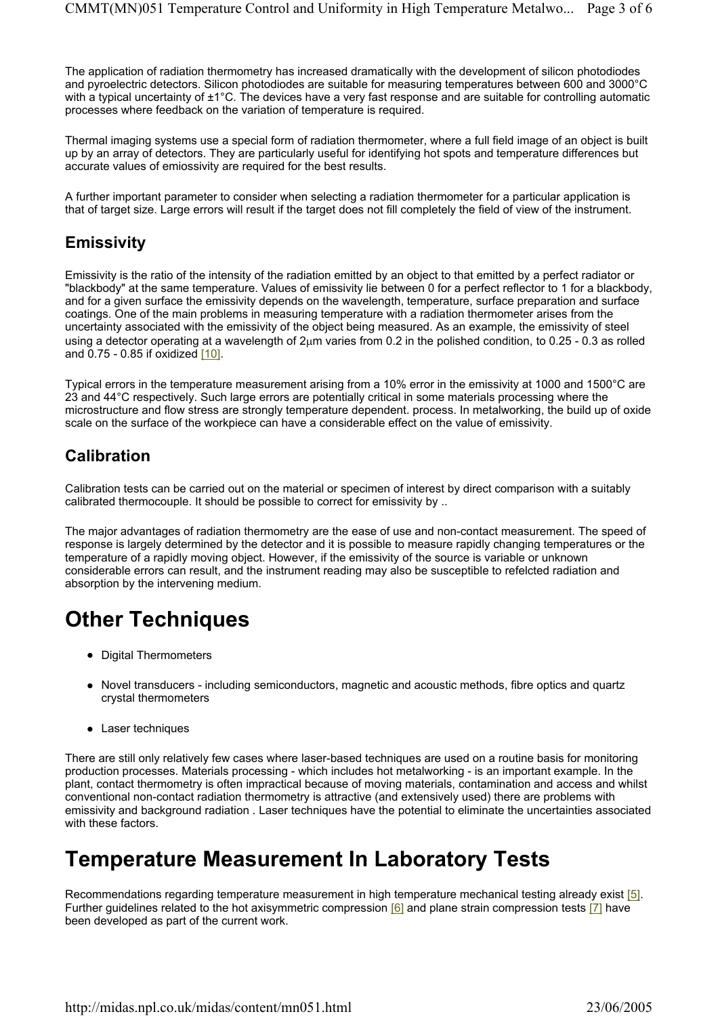The application of radiation thermometry has increased dramatically with the development of silicon photodiodes and pyroelectric detectors. Silicon photodiodes are suitable for measuring temperatures between 600 and 3000°C with a typical uncertainty of ±1°C. The devices have a very fast response and are suitable for controlling automatic processes where feedback on the variation of temperature is required.

Thermal imaging systems use a special form of radiation thermometer, where a full field image of an object is built up by an array of detectors. They are particularly useful for identifying hot spots and temperature differences but accurate values of emiossivity are required for the best results.

A further important parameter to consider when selecting a radiation thermometer for a particular application is that of target size. Large errors will result if the target does not fill completely the field of view of the instrument.

### **Emissivity**

Emissivity is the ratio of the intensity of the radiation emitted by an object to that emitted by a perfect radiator or "blackbody" at the same temperature. Values of emissivity lie between 0 for a perfect reflector to 1 for a blackbody, and for a given surface the emissivity depends on the wavelength, temperature, surface preparation and surface coatings. One of the main problems in measuring temperature with a radiation thermometer arises from the uncertainty associated with the emissivity of the object being measured. As an example, the emissivity of steel using a detector operating at a wavelength of 2µm varies from 0.2 in the polished condition, to 0.25 - 0.3 as rolled and 0.75 - 0.85 if oxidized [10].

Typical errors in the temperature measurement arising from a 10% error in the emissivity at 1000 and 1500°C are 23 and 44°C respectively. Such large errors are potentially critical in some materials processing where the microstructure and flow stress are strongly temperature dependent. process. In metalworking, the build up of oxide scale on the surface of the workpiece can have a considerable effect on the value of emissivity.

### **Calibration**

Calibration tests can be carried out on the material or specimen of interest by direct comparison with a suitably calibrated thermocouple. It should be possible to correct for emissivity by ..

The major advantages of radiation thermometry are the ease of use and non-contact measurement. The speed of response is largely determined by the detector and it is possible to measure rapidly changing temperatures or the temperature of a rapidly moving object. However, if the emissivity of the source is variable or unknown considerable errors can result, and the instrument reading may also be susceptible to refelcted radiation and absorption by the intervening medium.

# **Other Techniques**

- Digital Thermometers
- Novel transducers including semiconductors, magnetic and acoustic methods, fibre optics and quartz crystal thermometers
- Laser techniques

There are still only relatively few cases where laser-based techniques are used on a routine basis for monitoring production processes. Materials processing - which includes hot metalworking - is an important example. In the plant, contact thermometry is often impractical because of moving materials, contamination and access and whilst conventional non-contact radiation thermometry is attractive (and extensively used) there are problems with emissivity and background radiation . Laser techniques have the potential to eliminate the uncertainties associated with these factors.

### **Temperature Measurement In Laboratory Tests**

Recommendations regarding temperature measurement in high temperature mechanical testing already exist [5]. Further guidelines related to the hot axisymmetric compression [6] and plane strain compression tests [7] have been developed as part of the current work.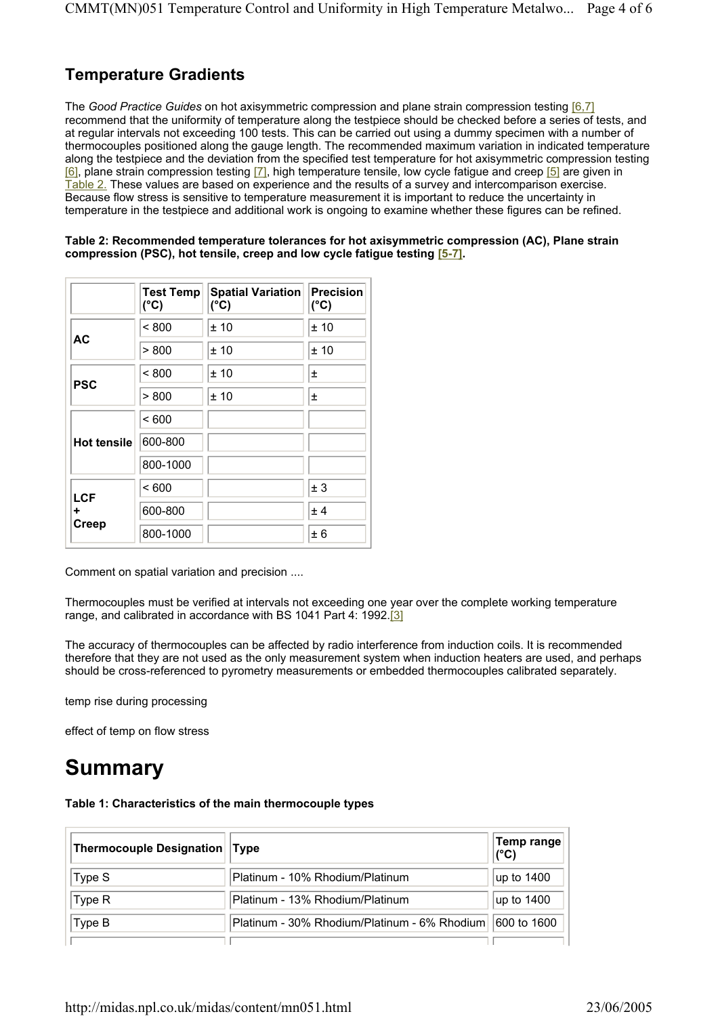#### **Temperature Gradients**

The *Good Practice Guides* on hot axisymmetric compression and plane strain compression testing [6,7] recommend that the uniformity of temperature along the testpiece should be checked before a series of tests, and at regular intervals not exceeding 100 tests. This can be carried out using a dummy specimen with a number of thermocouples positioned along the gauge length. The recommended maximum variation in indicated temperature along the testpiece and the deviation from the specified test temperature for hot axisymmetric compression testing [6], plane strain compression testing [7], high temperature tensile, low cycle fatigue and creep [5] are given in Table 2. These values are based on experience and the results of a survey and intercomparison exercise. Because flow stress is sensitive to temperature measurement it is important to reduce the uncertainty in temperature in the testpiece and additional work is ongoing to examine whether these figures can be refined.

#### **Table 2: Recommended temperature tolerances for hot axisymmetric compression (AC), Plane strain compression (PSC), hot tensile, creep and low cycle fatigue testing [5-7].**

|                                 | <b>Test Temp</b><br>$(^{\circ}C)$ | <b>Spatial Variation</b><br>$(^{\circ}C)$ | <b>Precision</b><br>$(^{\circ}C)$ |
|---------------------------------|-----------------------------------|-------------------------------------------|-----------------------------------|
| <b>AC</b>                       | < 800                             | ±10                                       | ±10                               |
|                                 | > 800                             | ±10                                       | ±10                               |
| <b>PSC</b>                      | < 800                             | ±10                                       | 士                                 |
|                                 | > 800                             | ±10                                       | 士                                 |
| <b>Hot tensile</b>              | < 600                             |                                           |                                   |
|                                 | 600-800                           |                                           |                                   |
|                                 | 800-1000                          |                                           |                                   |
| <b>LCF</b><br>٠<br><b>Creep</b> | < 600                             |                                           | ± 3                               |
|                                 | 600-800                           |                                           | ± 4                               |
|                                 | 800-1000                          |                                           | ± 6                               |

Comment on spatial variation and precision ....

Thermocouples must be verified at intervals not exceeding one year over the complete working temperature range, and calibrated in accordance with BS 1041 Part 4: 1992.[3]

The accuracy of thermocouples can be affected by radio interference from induction coils. It is recommended therefore that they are not used as the only measurement system when induction heaters are used, and perhaps should be cross-referenced to pyrometry measurements or embedded thermocouples calibrated separately.

temp rise during processing

effect of temp on flow stress

### **Summary**

**Table 1: Characteristics of the main thermocouple types** 

| Thermocouple Designation   Type |                                              | Temp range<br>(°C) |
|---------------------------------|----------------------------------------------|--------------------|
| Type S                          | Platinum - 10% Rhodium/Platinum              | up to 1400         |
| Type R                          | Platinum - 13% Rhodium/Platinum              | up to 1400         |
| Type B                          | Platinum - 30% Rhodium/Platinum - 6% Rhodium | 600 to 1600        |
|                                 |                                              |                    |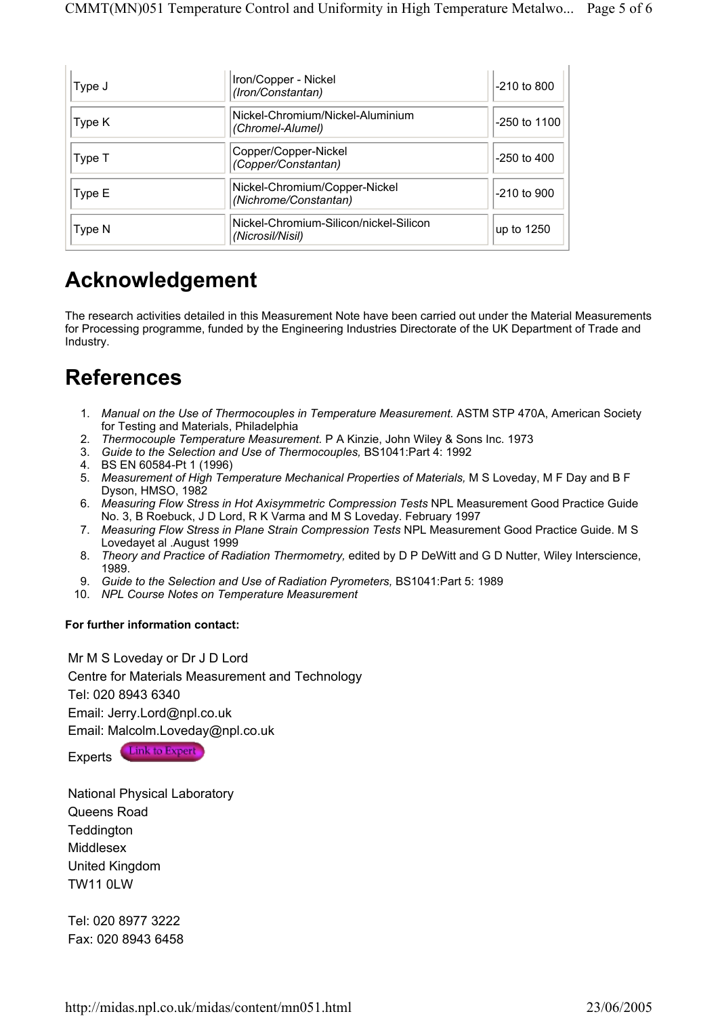| Type J | Iron/Copper - Nickel<br>(Iron/Constantan)                  | -210 to 800  |
|--------|------------------------------------------------------------|--------------|
| Type K | Nickel-Chromium/Nickel-Aluminium<br>(Chromel-Alumel)       | -250 to 1100 |
| Type T | Copper/Copper-Nickel<br>(Copper/Constantan)                | -250 to 400  |
| Type E | Nickel-Chromium/Copper-Nickel<br>(Nichrome/Constantan)     | -210 to 900  |
| Type N | Nickel-Chromium-Silicon/nickel-Silicon<br>(Nicrosil/Nisil) | up to 1250   |

## **Acknowledgement**

The research activities detailed in this Measurement Note have been carried out under the Material Measurements for Processing programme, funded by the Engineering Industries Directorate of the UK Department of Trade and Industry.

## **References**

- 1. *Manual on the Use of Thermocouples in Temperature Measurement.* ASTM STP 470A, American Society for Testing and Materials, Philadelphia
- 2. *Thermocouple Temperature Measurement.* P A Kinzie, John Wiley & Sons Inc. 1973
- 3. *Guide to the Selection and Use of Thermocouples,* BS1041:Part 4: 1992
- 4. BS EN 60584-Pt 1 (1996)
- 5. *Measurement of High Temperature Mechanical Properties of Materials,* M S Loveday, M F Day and B F Dyson, HMSO, 1982
- 6. *Measuring Flow Stress in Hot Axisymmetric Compression Tests* NPL Measurement Good Practice Guide No. 3, B Roebuck, J D Lord, R K Varma and M S Loveday. February 1997
- 7. *Measuring Flow Stress in Plane Strain Compression Tests* NPL Measurement Good Practice Guide. M S Lovedayet al .August 1999
- 8. *Theory and Practice of Radiation Thermometry,* edited by D P DeWitt and G D Nutter, Wiley Interscience, 1989.
- 9. *Guide to the Selection and Use of Radiation Pyrometers,* BS1041:Part 5: 1989
- 10. *NPL Course Notes on Temperature Measurement*

#### **For further information contact:**

Mr M S Loveday or Dr J D Lord Centre for Materials Measurement and Technology Tel: 020 8943 6340 Email: Jerry.Lord@npl.co.uk Email: Malcolm.Loveday@npl.co.uk Experts Link to Expert

National Physical Laboratory Queens Road **Teddington** Middlesex United Kingdom TW11 0LW

Tel: 020 8977 3222 Fax: 020 8943 6458